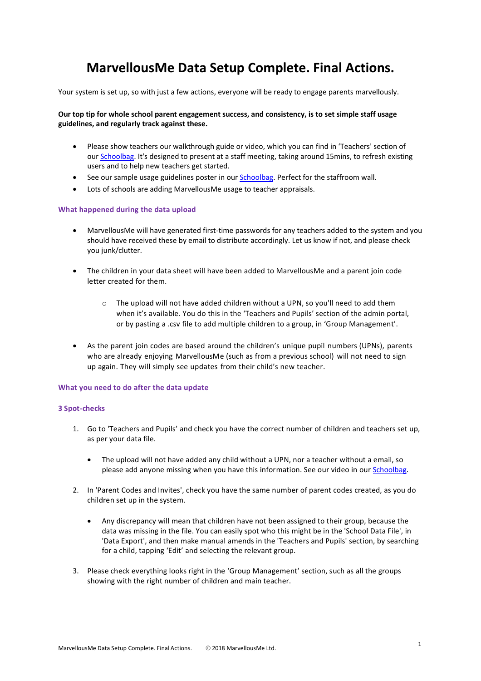# **MarvellousMe Data Setup Complete. Final Actions.**

Your system is set up, so with just a few actions, everyone will be ready to engage parents marvellously.

### **Our top tip for whole school parent engagement success, and consistency, is to set simple staff usage guidelines, and regularly track against these.**

- Please show teachers our walkthrough guide or video, which you can find in 'Teachers' section of our [Schoolbag.](http://www.marvellousme.com/schoolbag) It's designed to present at a staff meeting, taking around 15mins, to refresh existing users and to help new teachers get started.
- See our sample usage guidelines poster in our **Schoolbag**. Perfect for the staffroom wall.
- Lots of schools are adding MarvellousMe usage to teacher appraisals.

#### **What happened during the data upload**

- MarvellousMe will have generated first-time passwords for any teachers added to the system and you should have received these by email to distribute accordingly. Let us know if not, and please check you junk/clutter.
- The children in your data sheet will have been added to MarvellousMe and a parent join code letter created for them.
	- o The upload will not have added children without a UPN, so you'll need to add them when it's available. You do this in the 'Teachers and Pupils' section of the admin portal, or by pasting a .csv file to add multiple children to a group, in 'Group Management'.
- As the parent join codes are based around the children's unique pupil numbers (UPNs), parents who are already enjoying MarvellousMe (such as from a previous school) will not need to sign up again. They will simply see updates from their child's new teacher.

#### **What you need to do after the data update**

#### **3 Spot-checks**

- 1. Go to 'Teachers and Pupils' and check you have the correct number of children and teachers set up, as per your data file.
	- The upload will not have added any child without a UPN, nor a teacher without a email, so please add anyone missing when you have this information. See our video in our [Schoolbag.](http://www.marvellousme.com/schoolbag)
- 2. In 'Parent Codes and Invites', check you have the same number of parent codes created, as you do children set up in the system.
	- Any discrepancy will mean that children have not been assigned to their group, because the data was missing in the file. You can easily spot who this might be in the 'School Data File', in 'Data Export', and then make manual amends in the 'Teachers and Pupils' section, by searching for a child, tapping 'Edit' and selecting the relevant group.
- 3. Please check everything looks right in the 'Group Management' section, such as all the groups showing with the right number of children and main teacher.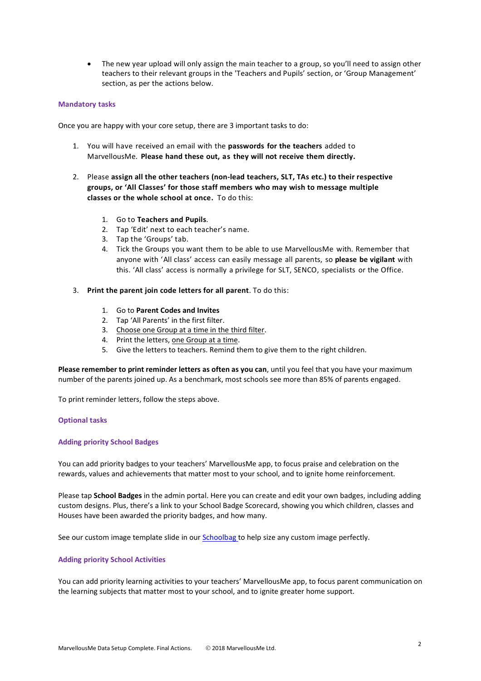• The new year upload will only assign the main teacher to a group, so you'll need to assign other teachers to their relevant groups in the 'Teachers and Pupils' section, or 'Group Management' section, as per the actions below.

#### **Mandatory tasks**

Once you are happy with your core setup, there are 3 important tasks to do:

- 1. You will have received an email with the **passwords for the teachers** added to MarvellousMe. **Please hand these out, as they will not receive them directly.**
- 2. Please **assign all the other teachers (non-lead teachers, SLT, TAs etc.) to their respective groups, or 'All Classes' for those staff members who may wish to message multiple classes or the whole school at once.** To do this:
	- 1. Go to **Teachers and Pupils**.
	- 2. Tap 'Edit' next to each teacher's name.
	- 3. Tap the 'Groups' tab.
	- 4. Tick the Groups you want them to be able to use MarvellousMe with. Remember that anyone with 'All class' access can easily message all parents, so **please be vigilant** with this. 'All class' access is normally a privilege for SLT, SENCO, specialists or the Office.
- 3. **Print the parent join code letters for all parent**. To do this:
	- 1. Go to **Parent Codes and Invites**
	- 2. Tap 'All Parents' in the first filter.
	- 3. Choose one Group at a time in the third filter.
	- 4. Print the letters, one Group at a time.
	- 5. Give the letters to teachers. Remind them to give them to the right children.

**Please remember to print reminder letters as often as you can**, until you feel that you have your maximum number of the parents joined up. As a benchmark, most schools see more than 85% of parents engaged.

To print reminder letters, follow the steps above.

#### **Optional tasks**

#### **Adding priority School Badges**

You can add priority badges to your teachers' MarvellousMe app, to focus praise and celebration on the rewards, values and achievements that matter most to your school, and to ignite home reinforcement.

Please tap **School Badges** in the admin portal. Here you can create and edit your own badges, including adding custom designs. Plus, there's a link to your School Badge Scorecard, showing you which children, classes and Houses have been awarded the priority badges, and how many.

See our custom image template slide in ou[r Schoolbag](http://www.marvellousme.com/schoolbag) to help size any custom image perfectly.

#### **Adding priority School Activities**

You can add priority learning activities to your teachers' MarvellousMe app, to focus parent communication on the learning subjects that matter most to your school, and to ignite greater home support.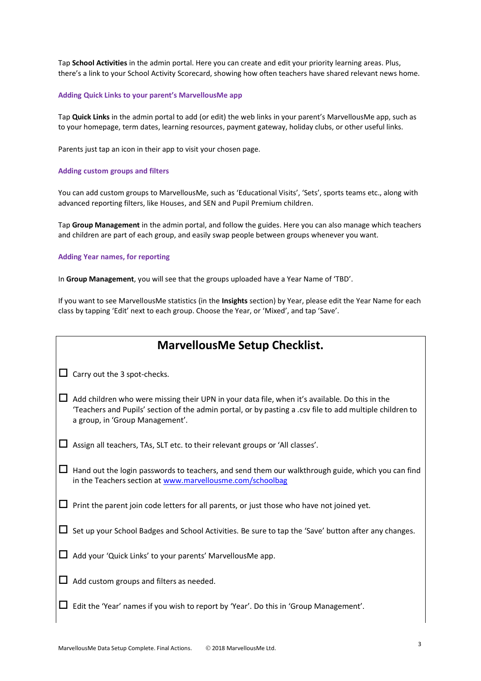Tap **School Activities** in the admin portal. Here you can create and edit your priority learning areas. Plus, there's a link to your School Activity Scorecard, showing how often teachers have shared relevant news home.

#### **Adding Quick Links to your parent's MarvellousMe app**

Tap **Quick Links** in the admin portal to add (or edit) the web links in your parent's MarvellousMe app, such as to your homepage, term dates, learning resources, payment gateway, holiday clubs, or other useful links.

Parents just tap an icon in their app to visit your chosen page.

#### **Adding custom groups and filters**

You can add custom groups to MarvellousMe, such as 'Educational Visits', 'Sets', sports teams etc., along with advanced reporting filters, like Houses, and SEN and Pupil Premium children.

Tap **Group Management** in the admin portal, and follow the guides. Here you can also manage which teachers and children are part of each group, and easily swap people between groups whenever you want.

#### **Adding Year names, for reporting**

In **Group Management**, you will see that the groups uploaded have a Year Name of 'TBD'.

If you want to see MarvellousMe statistics (in the **Insights** section) by Year, please edit the Year Name for each class by tapping 'Edit' next to each group. Choose the Year, or 'Mixed', and tap 'Save'.

## **MarvellousMe Setup Checklist.**

 $\Box$  Carry out the 3 spot-checks.

- $\Box$  Add children who were missing their UPN in your data file, when it's available. Do this in the 'Teachers and Pupils' section of the admin portal, or by pasting a .csv file to add multiple children to a group, in 'Group Management'.
- $\Box$  Assign all teachers, TAs, SLT etc. to their relevant groups or 'All classes'.
- $\Box$  Hand out the login passwords to teachers, and send them our walkthrough guide, which you can find in the Teachers section a[t www.marvellousme.com/schoolbag](http://www.marvellousme.com/schoolbag)
- $\Box$  Print the parent join code letters for all parents, or just those who have not joined yet.
- $\Box$  Set up your School Badges and School Activities. Be sure to tap the 'Save' button after any changes.
- $\Box$  Add your 'Quick Links' to your parents' MarvellousMe app.
- $\Box$  Add custom groups and filters as needed.
- $\Box$  Edit the 'Year' names if you wish to report by 'Year'. Do this in 'Group Management'.